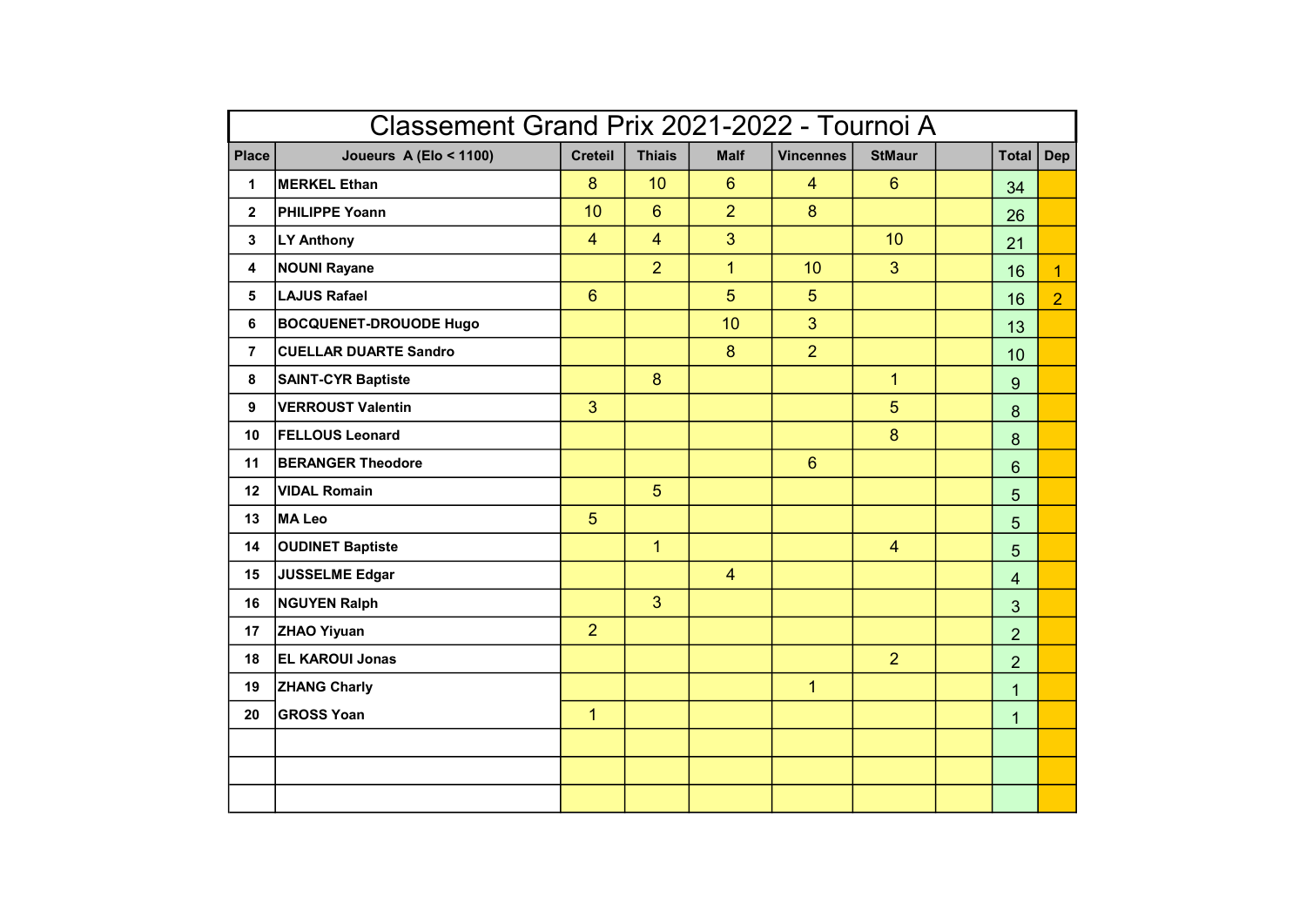| Classement Grand Prix 2021-2022 - Tournoi A |                               |                |                |                |                  |                 |  |                 |                |
|---------------------------------------------|-------------------------------|----------------|----------------|----------------|------------------|-----------------|--|-----------------|----------------|
| <b>Place</b>                                | Joueurs A (Elo < 1100)        | <b>Creteil</b> | <b>Thiais</b>  | <b>Malf</b>    | <b>Vincennes</b> | <b>StMaur</b>   |  | <b>Total</b>    | Dep            |
| 1                                           | <b>MERKEL Ethan</b>           | 8              | 10             | 6              | $\overline{4}$   | 6               |  | 34              |                |
| $\overline{2}$                              | <b>PHILIPPE Yoann</b>         | 10             | 6              | $\overline{2}$ | 8                |                 |  | 26              |                |
| 3                                           | LY Anthony                    | $\overline{4}$ | $\overline{4}$ | $\overline{3}$ |                  | 10 <sup>°</sup> |  | 21              |                |
| 4                                           | <b>NOUNI Rayane</b>           |                | $\overline{2}$ | $\mathbf{1}$   | 10               | $\mathbf{3}$    |  | 16              | $\mathbf{1}$   |
| 5                                           | LAJUS Rafael                  | $6\phantom{1}$ |                | 5              | $5\overline{)}$  |                 |  | 16              | $\overline{2}$ |
| 6                                           | <b>BOCQUENET-DROUODE Hugo</b> |                |                | 10             | $\overline{3}$   |                 |  | 13              |                |
| $\overline{7}$                              | <b>CUELLAR DUARTE Sandro</b>  |                |                | 8              | $\overline{2}$   |                 |  | 10              |                |
| 8                                           | <b>SAINT-CYR Baptiste</b>     |                | 8              |                |                  | $\overline{1}$  |  | 9               |                |
| 9                                           | <b>VERROUST Valentin</b>      | $\mathbf{3}$   |                |                |                  | 5               |  | 8               |                |
| 10                                          | <b>FELLOUS Leonard</b>        |                |                |                |                  | 8               |  | 8               |                |
| 11                                          | <b>BERANGER Theodore</b>      |                |                |                | $6\overline{6}$  |                 |  | $6\phantom{1}$  |                |
| 12                                          | <b>VIDAL Romain</b>           |                | 5 <sup>5</sup> |                |                  |                 |  | $5\overline{)}$ |                |
| 13                                          | MA Leo                        | 5              |                |                |                  |                 |  | 5               |                |
| 14                                          | <b>OUDINET Baptiste</b>       |                | $\overline{1}$ |                |                  | $\overline{4}$  |  | $5\overline{)}$ |                |
| 15                                          | JUSSELME Edgar                |                |                | $\overline{4}$ |                  |                 |  | $\overline{4}$  |                |
| 16                                          | NGUYEN Ralph                  |                | 3              |                |                  |                 |  | $\overline{3}$  |                |
| 17                                          | <b>ZHAO Yiyuan</b>            | $\overline{2}$ |                |                |                  |                 |  | $\overline{2}$  |                |
| 18                                          | <b>EL KAROUI Jonas</b>        |                |                |                |                  | 2 <sup>1</sup>  |  | $\overline{2}$  |                |
| 19                                          | <b>ZHANG Charly</b>           |                |                |                | $\mathbf{1}$     |                 |  | $\mathbf{1}$    |                |
| 20                                          | <b>GROSS Yoan</b>             | $\mathbf{1}$   |                |                |                  |                 |  | $\mathbf{1}$    |                |
|                                             |                               |                |                |                |                  |                 |  |                 |                |
|                                             |                               |                |                |                |                  |                 |  |                 |                |
|                                             |                               |                |                |                |                  |                 |  |                 |                |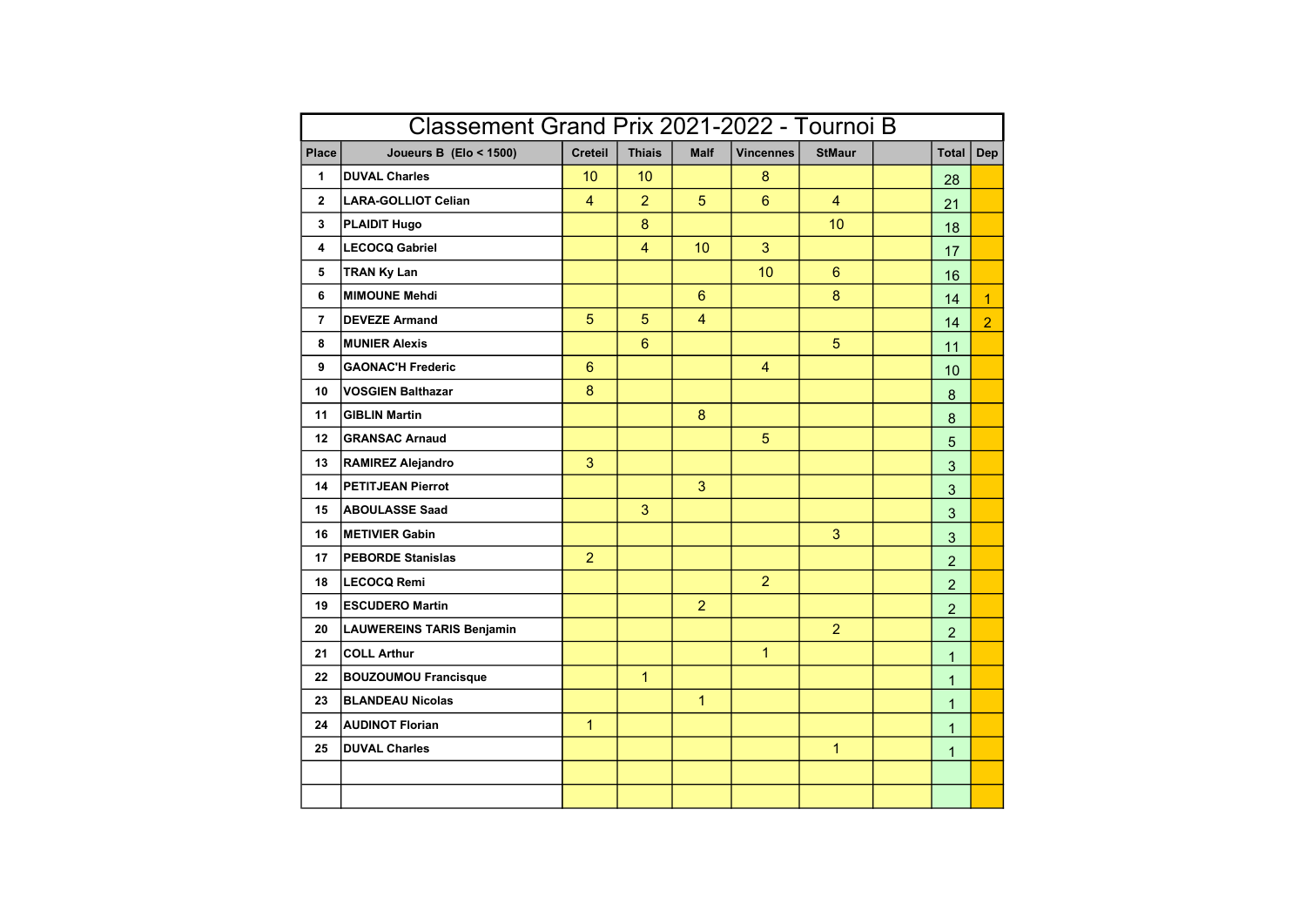| Classement Grand Prix 2021-2022 - Tournoi B |                                  |                |                |                |                  |                 |  |                |                |
|---------------------------------------------|----------------------------------|----------------|----------------|----------------|------------------|-----------------|--|----------------|----------------|
| Place                                       | Joueurs B (Elo < 1500)           | <b>Creteil</b> | <b>Thiais</b>  | <b>Malf</b>    | <b>Vincennes</b> | <b>StMaur</b>   |  | <b>Total</b>   | <b>Dep</b>     |
| 1                                           | <b>DUVAL Charles</b>             | 10             | 10             |                | 8                |                 |  | 28             |                |
| $\overline{2}$                              | <b>LARA-GOLLIOT Celian</b>       | $\overline{4}$ | $\overline{2}$ | 5              | $6\overline{6}$  | $\overline{4}$  |  | 21             |                |
| 3                                           | <b>PLAIDIT Hugo</b>              |                | 8              |                |                  | 10 <sup>°</sup> |  | 18             |                |
| 4                                           | <b>LECOCQ Gabriel</b>            |                | $\overline{4}$ | 10             | 3                |                 |  | 17             |                |
| 5                                           | <b>TRAN Ky Lan</b>               |                |                |                | 10               | 6               |  | 16             |                |
| 6                                           | <b>MIMOUNE Mehdi</b>             |                |                | 6              |                  | 8               |  | 14             | $\overline{1}$ |
| $\overline{7}$                              | <b>DEVEZE Armand</b>             | $\overline{5}$ | 5              | $\overline{4}$ |                  |                 |  | 14             | $\overline{2}$ |
| 8                                           | <b>MUNIER Alexis</b>             |                | $6\phantom{1}$ |                |                  | 5               |  | 11             |                |
| 9                                           | <b>GAONAC'H Frederic</b>         | 6              |                |                | $\overline{4}$   |                 |  | 10             |                |
| 10                                          | <b>VOSGIEN Balthazar</b>         | 8              |                |                |                  |                 |  | 8              |                |
| 11                                          | <b>GIBLIN Martin</b>             |                |                | 8              |                  |                 |  | 8              |                |
| 12 <sup>°</sup>                             | <b>GRANSAC Arnaud</b>            |                |                |                | 5                |                 |  | 5              |                |
| 13                                          | <b>RAMIREZ Alejandro</b>         | 3              |                |                |                  |                 |  | 3              |                |
| 14                                          | <b>PETITJEAN Pierrot</b>         |                |                | 3              |                  |                 |  | $\overline{3}$ |                |
| 15                                          | <b>ABOULASSE Saad</b>            |                | 3              |                |                  |                 |  | 3              |                |
| 16                                          | <b>METIVIER Gabin</b>            |                |                |                |                  | 3               |  | 3              |                |
| 17                                          | <b>PEBORDE Stanislas</b>         | $\overline{2}$ |                |                |                  |                 |  | $\overline{a}$ |                |
| 18                                          | <b>LECOCQ Remi</b>               |                |                |                | $\overline{2}$   |                 |  | $\overline{2}$ |                |
| 19                                          | <b>ESCUDERO Martin</b>           |                |                | $\overline{2}$ |                  |                 |  | $\overline{2}$ |                |
| 20                                          | <b>LAUWEREINS TARIS Benjamin</b> |                |                |                |                  | 2               |  | $\overline{2}$ |                |
| 21                                          | <b>COLL Arthur</b>               |                |                |                | $\mathbf{1}$     |                 |  | $\mathbf{1}$   |                |
| 22                                          | <b>BOUZOUMOU Francisque</b>      |                | $\mathbf{1}$   |                |                  |                 |  | $\mathbf{1}$   |                |
| 23                                          | <b>BLANDEAU Nicolas</b>          |                |                | $\mathbf{1}$   |                  |                 |  | $\mathbf{1}$   |                |
| 24                                          | <b>AUDINOT Florian</b>           | $\mathbf{1}$   |                |                |                  |                 |  | $\mathbf{1}$   |                |
| 25                                          | <b>DUVAL Charles</b>             |                |                |                |                  | $\mathbf{1}$    |  | $\mathbf{1}$   |                |
|                                             |                                  |                |                |                |                  |                 |  |                |                |
|                                             |                                  |                |                |                |                  |                 |  |                |                |